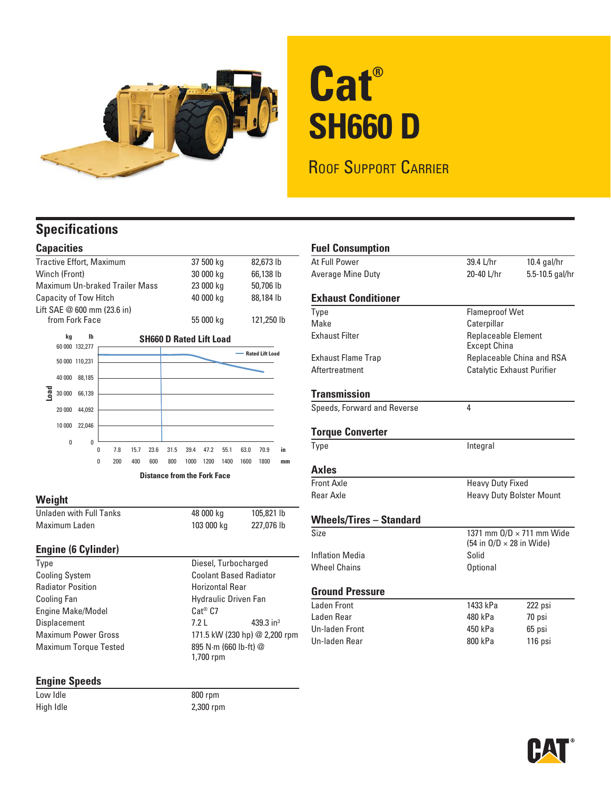

# **Cat® SH660 D**

ROOF SUPPORT CARRIER

### **Specifications**

#### **Capacities**

| <b>Tractive Effort, Maximum</b> |        |                                                        |   |                                       |      |      |           | 37 500 kg                          |           |            | 82,673 lb |                        |    |
|---------------------------------|--------|--------------------------------------------------------|---|---------------------------------------|------|------|-----------|------------------------------------|-----------|------------|-----------|------------------------|----|
| Winch (Front)                   |        |                                                        |   |                                       |      |      |           | 30 000 kg                          |           |            | 66,138 lb |                        |    |
| Maximum Un-braked Trailer Mass  |        |                                                        |   |                                       |      |      |           |                                    | 23 000 kg |            |           | 50,706 lb              |    |
| Capacity of Tow Hitch           |        |                                                        |   |                                       |      |      |           |                                    | 40 000 kg |            |           | 88,184 lb              |    |
|                                 |        |                                                        |   | Lift $SAE \otimes 600$ mm $(23.6)$ in |      |      |           |                                    |           |            |           |                        |    |
| from Fork Face                  |        |                                                        |   |                                       |      |      | 55 000 kg |                                    |           | 121,250 lb |           |                        |    |
|                                 | kg     | lb<br><b>SH660 D Rated Lift Load</b><br>60 000 132,277 |   |                                       |      |      |           |                                    |           |            |           |                        |    |
|                                 |        |                                                        |   |                                       |      |      |           |                                    |           |            |           | <b>Rated Lift Load</b> |    |
|                                 |        | 50 000 110,231                                         |   |                                       |      |      |           |                                    |           |            |           |                        |    |
|                                 | 40 000 | 88,185                                                 |   |                                       |      |      |           |                                    |           |            |           |                        |    |
| <b>Dreg</b>                     | 30 000 | 66,139                                                 |   |                                       |      |      |           |                                    |           |            |           |                        |    |
|                                 | 20 000 | 44,092                                                 |   |                                       |      |      |           |                                    |           |            |           |                        |    |
|                                 | 10 000 | 22.046                                                 |   |                                       |      |      |           |                                    |           |            |           |                        |    |
|                                 | 0      | 0                                                      |   |                                       |      |      |           |                                    |           |            |           |                        |    |
|                                 |        |                                                        | 0 | 7.8                                   | 15.7 | 23.6 | 31.5      | 39.4                               | 47.2      | 55.1       | 63.0      | 70.9                   | in |
|                                 |        |                                                        | 0 | 200                                   | 400  | 600  | 800       | 1000                               | 1200      | 1400       | 1600      | 1800                   | mm |
|                                 |        |                                                        |   |                                       |      |      |           | <b>Distance from the Fork Face</b> |           |            |           |                        |    |

#### **Weight**

| Unladen with Full Tanks | 48 000 kg  | 105,821 lb |
|-------------------------|------------|------------|
| Maximum Laden           | 103 000 kg | 227,076 lb |

# **Engine (6 Cylinder)**

Cooling System Coolant Based Radiator Radiator Position **Radiator Position Horizontal Rear** Cooling Fan **Hydraulic Driven Fan** Engine Make/Model Cat® C7 Displacement 7.2 L 439.3 in<sup>3</sup> Maximum Power Gross 171.5 kW (230 hp) @ 2,200 rpm Maximum Torque Tested 895 N·m (660 lb-ft) @

## **Engine Speeds**

 $800$  rpm High Idle 2,300 rpm

1,700 rpm

Diesel, Turbocharged

| <b>Fuel Consumption</b>        |                                                   |                                  |  |  |  |  |
|--------------------------------|---------------------------------------------------|----------------------------------|--|--|--|--|
| At Full Power                  | 39.4 L/hr                                         | $10.4$ gal/hr                    |  |  |  |  |
| Average Mine Duty              | 20-40 L/hr<br>5.5-10.5 gal/hr                     |                                  |  |  |  |  |
| <b>Exhaust Conditioner</b>     |                                                   |                                  |  |  |  |  |
| Type                           | <b>Flameproof Wet</b>                             |                                  |  |  |  |  |
| Make                           | Caterpillar                                       |                                  |  |  |  |  |
| <b>Exhaust Filter</b>          | <b>Replaceable Element</b><br><b>Except China</b> |                                  |  |  |  |  |
| <b>Exhaust Flame Trap</b>      |                                                   | Replaceable China and RSA        |  |  |  |  |
| Aftertreatment                 | Catalytic Exhaust Purifier                        |                                  |  |  |  |  |
| Transmission                   |                                                   |                                  |  |  |  |  |
| Speeds, Forward and Reverse    | 4                                                 |                                  |  |  |  |  |
| <b>Torque Converter</b>        |                                                   |                                  |  |  |  |  |
| Type                           | Integral                                          |                                  |  |  |  |  |
| Axles                          |                                                   |                                  |  |  |  |  |
| Front Axle                     | <b>Heavy Duty Fixed</b>                           |                                  |  |  |  |  |
| <b>Rear Axle</b>               | <b>Heavy Duty Bolster Mount</b>                   |                                  |  |  |  |  |
| <b>Wheels/Tires - Standard</b> |                                                   |                                  |  |  |  |  |
| Size                           | (54 in $O/D \times 28$ in Wide)                   | 1371 mm $O/D \times 711$ mm Wide |  |  |  |  |
| <b>Inflation Media</b>         | Solid                                             |                                  |  |  |  |  |
| <b>Wheel Chains</b>            | <b>Optional</b>                                   |                                  |  |  |  |  |
| <b>Ground Pressure</b>         |                                                   |                                  |  |  |  |  |
| Laden Front                    | 1433 kPa                                          | 222 psi                          |  |  |  |  |
| Laden Rear                     | 480 kPa                                           | 70 psi                           |  |  |  |  |
| Un-laden Front                 | 450 kPa                                           | 65 psi                           |  |  |  |  |
| Un-laden Rear                  | 800 kPa                                           | 116 psi                          |  |  |  |  |

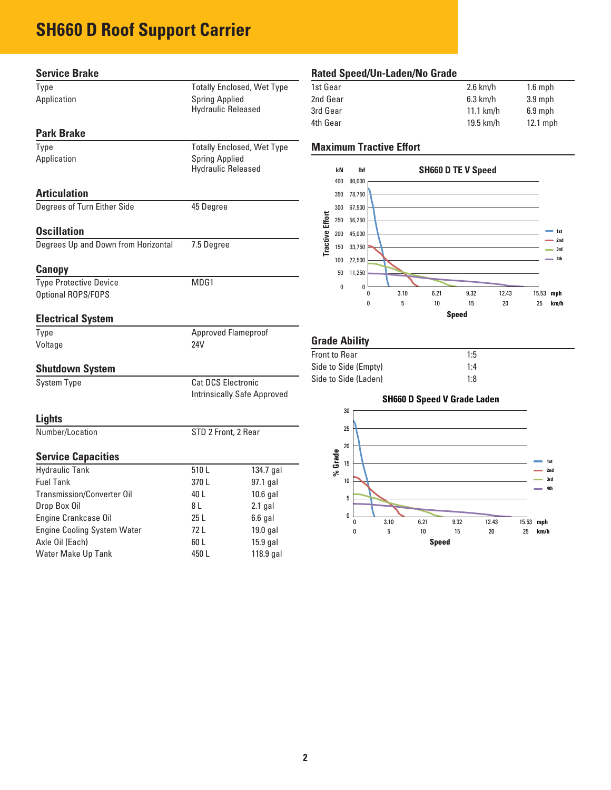### **SH660 D Roof Support Carrier**

| <b>Service Brake</b>                |                           |                                    | <b>Rated Spe</b>                     |
|-------------------------------------|---------------------------|------------------------------------|--------------------------------------|
| Type                                |                           | <b>Totally Enclosed, Wet Type</b>  | 1st Gear                             |
| Application                         | <b>Spring Applied</b>     |                                    | 2nd Gear                             |
|                                     | <b>Hydraulic Released</b> |                                    | 3rd Gear                             |
|                                     |                           |                                    | 4th Gear                             |
| <b>Park Brake</b>                   |                           |                                    |                                      |
| Type                                |                           | <b>Totally Enclosed, Wet Type</b>  | <b>Maximum</b>                       |
| Application                         | <b>Spring Applied</b>     |                                    |                                      |
|                                     | <b>Hydraulic Released</b> |                                    | kN<br>400<br>90,                     |
| <b>Articulation</b>                 |                           |                                    | 350<br>78,                           |
| Degrees of Turn Either Side         | 45 Degree                 |                                    | 300                                  |
|                                     |                           |                                    | 67,                                  |
| <b>Oscillation</b>                  |                           |                                    | <b>Tractive Effort</b><br>250<br>56, |
| Degrees Up and Down from Horizontal | 7.5 Degree                |                                    | 200<br>45,                           |
|                                     |                           |                                    | 150<br>33,                           |
| Canopy                              |                           |                                    | 100<br>22,<br>50<br>11,              |
| <b>Type Protective Device</b>       | MDG1                      |                                    |                                      |
| Optional ROPS/FOPS                  |                           |                                    | $\pmb{0}$                            |
| <b>Electrical System</b>            |                           |                                    |                                      |
| Type                                |                           | <b>Approved Flameproof</b>         | <b>Grade Abi</b>                     |
| Voltage                             | 24V                       |                                    | <b>Front to Rear</b>                 |
| <b>Shutdown System</b>              |                           |                                    | Side to Side                         |
| <b>System Type</b>                  | <b>Cat DCS Electronic</b> |                                    | Side to Side                         |
|                                     |                           | <b>Intrinsically Safe Approved</b> |                                      |
|                                     |                           |                                    | 30                                   |
| Lights                              |                           |                                    | 25                                   |
| Number/Location                     | STD 2 Front, 2 Rear       |                                    |                                      |
| <b>Service Capacities</b>           |                           |                                    | 20<br>% Grade<br>15                  |
| <b>Hydraulic Tank</b>               | 510L                      | 134.7 gal                          |                                      |
| <b>Fuel Tank</b>                    | 370 L                     | 97.1 gal                           | 10                                   |
| <b>Transmission/Converter Oil</b>   | 40 L                      | $10.6$ gal                         | 5                                    |
| Drop Box Oil                        | 8 L                       | $2.1$ gal                          | 0                                    |
| Engine Crankcase Oil                | 25L                       | $6.6$ gal                          |                                      |
| <b>Engine Cooling System Water</b>  | 72L                       | 19.0 gal                           | 0                                    |
| Axle Oil (Each)                     | 60 L                      | 15.9 gal                           |                                      |

Water Make Up Tank 150 L 118.9 gal

#### **Rated Speed/Un-Laden/No Grade**

| 1st Gear | $2.6$ km/h  | $1.6$ mph  |
|----------|-------------|------------|
| 2nd Gear | $6.3$ km/h  | $3.9$ mph  |
| 3rd Gear | $11.1$ km/h | $6.9$ mph  |
| 4th Gear | $19.5$ km/h | $12.1$ mph |
|          |             |            |

#### **Tractive Effort**



#### **ility**

| <b>Front to Rear</b> | 1:5 |
|----------------------|-----|
| Side to Side (Empty) | 1:4 |
| Side to Side (Laden) | 1:8 |

### **SH660 D Speed V Grade Laden Speed** 0 3.10 6.21 9.32 12.43 15.53 **mph** 0 5 10 15 20 25 **km/h 1st 2nd 3rd 4th**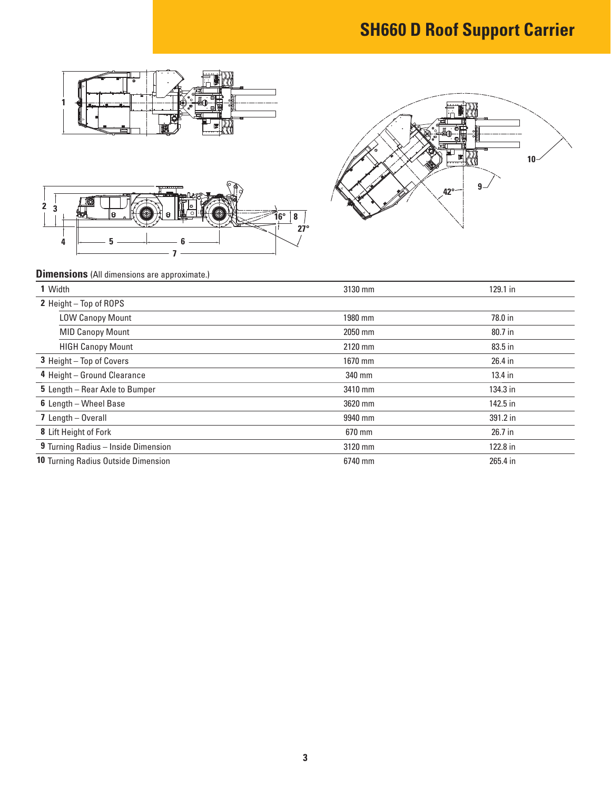## **SH660 D Roof Support Carrier**





#### **Dimensions** (All dimensions are approximate.)

**5 6**

**3**

| 1 Width                             | 3130 mm | 129.1 in  |
|-------------------------------------|---------|-----------|
| 2 Height - Top of ROPS              |         |           |
| <b>LOW Canopy Mount</b>             | 1980 mm | 78.0 in   |
| <b>MID Canopy Mount</b>             | 2050 mm | 80.7 in   |
| <b>HIGH Canopy Mount</b>            | 2120 mm | 83.5 in   |
| 3 Height - Top of Covers            | 1670 mm | 26.4 in   |
| 4 Height - Ground Clearance         | 340 mm  | $13.4$ in |
| 5 Length - Rear Axle to Bumper      | 3410 mm | 134.3 in  |
| 6 Length - Wheel Base               | 3620 mm | 142.5 in  |
| 7 Length - Overall                  | 9940 mm | 391.2 in  |
| 8 Lift Height of Fork               | 670 mm  | 26.7 in   |
| 9 Turning Radius - Inside Dimension | 3120 mm | 122.8 in  |
| 10 Turning Radius Outside Dimension | 6740 mm | 265.4 in  |

**27°**

**16° 8**